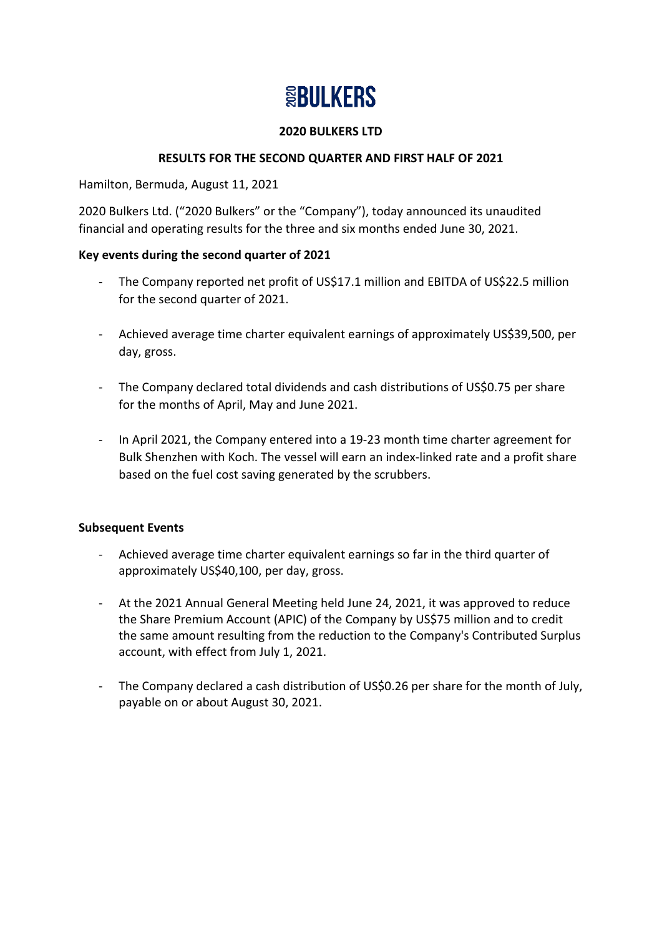# **SEBULKERS**

## **2020 BULKERS LTD**

# **RESULTS FOR THE SECOND QUARTER AND FIRST HALF OF 2021**

Hamilton, Bermuda, August 11, 2021

2020 Bulkers Ltd. ("2020 Bulkers" or the "Company"), today announced its unaudited financial and operating results for the three and six months ended June 30, 2021.

## **Key events during the second quarter of 2021**

- The Company reported net profit of US\$17.1 million and EBITDA of US\$22.5 million for the second quarter of 2021.
- Achieved average time charter equivalent earnings of approximately US\$39,500, per day, gross.
- The Company declared total dividends and cash distributions of US\$0.75 per share for the months of April, May and June 2021.
- In April 2021, the Company entered into a 19-23 month time charter agreement for Bulk Shenzhen with Koch. The vessel will earn an index-linked rate and a profit share based on the fuel cost saving generated by the scrubbers.

# **Subsequent Events**

- Achieved average time charter equivalent earnings so far in the third quarter of approximately US\$40,100, per day, gross.
- At the 2021 Annual General Meeting held June 24, 2021, it was approved to reduce the Share Premium Account (APIC) of the Company by US\$75 million and to credit the same amount resulting from the reduction to the Company's Contributed Surplus account, with effect from July 1, 2021.
- The Company declared a cash distribution of US\$0.26 per share for the month of July, payable on or about August 30, 2021.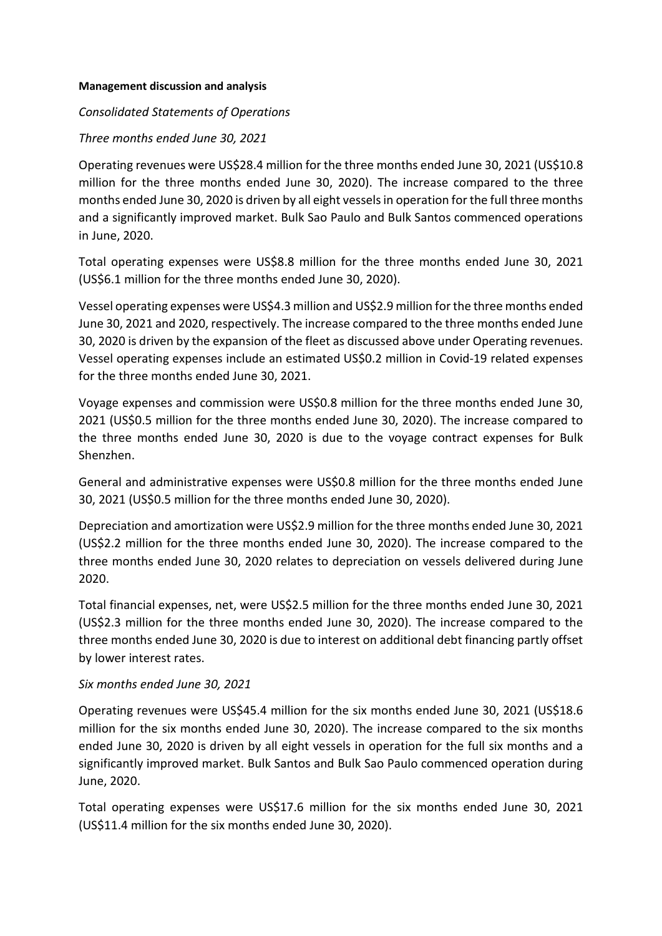#### **Management discussion and analysis**

#### *Consolidated Statements of Operations*

#### *Three months ended June 30, 2021*

Operating revenues were US\$28.4 million for the three months ended June 30, 2021 (US\$10.8 million for the three months ended June 30, 2020). The increase compared to the three months ended June 30, 2020 is driven by all eight vessels in operation for the full three months and a significantly improved market. Bulk Sao Paulo and Bulk Santos commenced operations in June, 2020.

Total operating expenses were US\$8.8 million for the three months ended June 30, 2021 (US\$6.1 million for the three months ended June 30, 2020).

Vessel operating expenses were US\$4.3 million and US\$2.9 million for the three months ended June 30, 2021 and 2020, respectively. The increase compared to the three months ended June 30, 2020 is driven by the expansion of the fleet as discussed above under Operating revenues. Vessel operating expenses include an estimated US\$0.2 million in Covid-19 related expenses for the three months ended June 30, 2021.

Voyage expenses and commission were US\$0.8 million for the three months ended June 30, 2021 (US\$0.5 million for the three months ended June 30, 2020). The increase compared to the three months ended June 30, 2020 is due to the voyage contract expenses for Bulk Shenzhen.

General and administrative expenses were US\$0.8 million for the three months ended June 30, 2021 (US\$0.5 million for the three months ended June 30, 2020).

Depreciation and amortization were US\$2.9 million for the three months ended June 30, 2021 (US\$2.2 million for the three months ended June 30, 2020). The increase compared to the three months ended June 30, 2020 relates to depreciation on vessels delivered during June 2020.

Total financial expenses, net, were US\$2.5 million for the three months ended June 30, 2021 (US\$2.3 million for the three months ended June 30, 2020). The increase compared to the three months ended June 30, 2020 is due to interest on additional debt financing partly offset by lower interest rates.

#### *Six months ended June 30, 2021*

Operating revenues were US\$45.4 million for the six months ended June 30, 2021 (US\$18.6 million for the six months ended June 30, 2020). The increase compared to the six months ended June 30, 2020 is driven by all eight vessels in operation for the full six months and a significantly improved market. Bulk Santos and Bulk Sao Paulo commenced operation during June, 2020.

Total operating expenses were US\$17.6 million for the six months ended June 30, 2021 (US\$11.4 million for the six months ended June 30, 2020).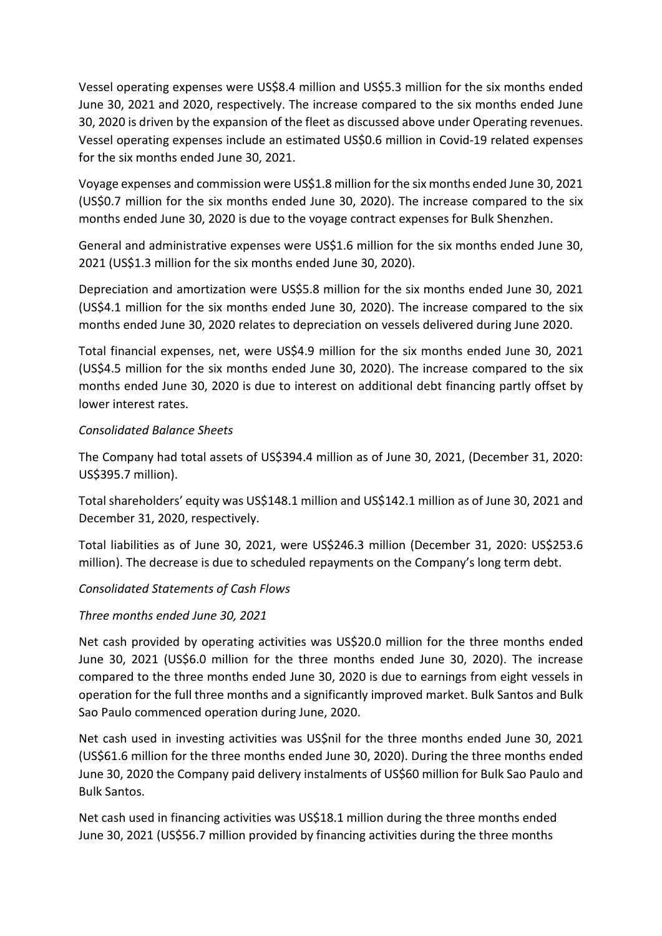Vessel operating expenses were US\$8.4 million and US\$5.3 million for the six months ended June 30, 2021 and 2020, respectively. The increase compared to the six months ended June 30, 2020 is driven by the expansion of the fleet as discussed above under Operating revenues. Vessel operating expenses include an estimated US\$0.6 million in Covid-19 related expenses for the six months ended June 30, 2021.

Voyage expenses and commission were US\$1.8 million for the six months ended June 30, 2021 (US\$0.7 million for the six months ended June 30, 2020). The increase compared to the six months ended June 30, 2020 is due to the voyage contract expenses for Bulk Shenzhen.

General and administrative expenses were US\$1.6 million for the six months ended June 30, 2021 (US\$1.3 million for the six months ended June 30, 2020).

Depreciation and amortization were US\$5.8 million for the six months ended June 30, 2021 (US\$4.1 million for the six months ended June 30, 2020). The increase compared to the six months ended June 30, 2020 relates to depreciation on vessels delivered during June 2020.

Total financial expenses, net, were US\$4.9 million for the six months ended June 30, 2021 (US\$4.5 million for the six months ended June 30, 2020). The increase compared to the six months ended June 30, 2020 is due to interest on additional debt financing partly offset by lower interest rates.

## *Consolidated Balance Sheets*

The Company had total assets of US\$394.4 million as of June 30, 2021, (December 31, 2020: US\$395.7 million).

Total shareholders' equity was US\$148.1 million and US\$142.1 million as of June 30, 2021 and December 31, 2020, respectively.

Total liabilities as of June 30, 2021, were US\$246.3 million (December 31, 2020: US\$253.6 million). The decrease is due to scheduled repayments on the Company's long term debt.

# *Consolidated Statements of Cash Flows*

# *Three months ended June 30, 2021*

Net cash provided by operating activities was US\$20.0 million for the three months ended June 30, 2021 (US\$6.0 million for the three months ended June 30, 2020). The increase compared to the three months ended June 30, 2020 is due to earnings from eight vessels in operation for the full three months and a significantly improved market. Bulk Santos and Bulk Sao Paulo commenced operation during June, 2020.

Net cash used in investing activities was US\$nil for the three months ended June 30, 2021 (US\$61.6 million for the three months ended June 30, 2020). During the three months ended June 30, 2020 the Company paid delivery instalments of US\$60 million for Bulk Sao Paulo and Bulk Santos.

Net cash used in financing activities was US\$18.1 million during the three months ended June 30, 2021 (US\$56.7 million provided by financing activities during the three months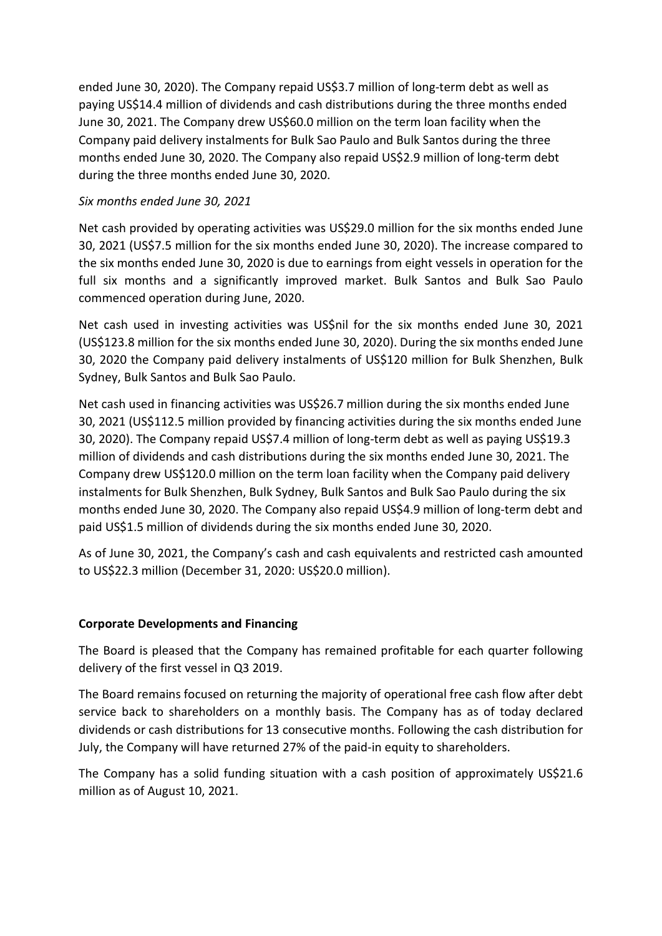ended June 30, 2020). The Company repaid US\$3.7 million of long-term debt as well as paying US\$14.4 million of dividends and cash distributions during the three months ended June 30, 2021. The Company drew US\$60.0 million on the term loan facility when the Company paid delivery instalments for Bulk Sao Paulo and Bulk Santos during the three months ended June 30, 2020. The Company also repaid US\$2.9 million of long-term debt during the three months ended June 30, 2020.

## *Six months ended June 30, 2021*

Net cash provided by operating activities was US\$29.0 million for the six months ended June 30, 2021 (US\$7.5 million for the six months ended June 30, 2020). The increase compared to the six months ended June 30, 2020 is due to earnings from eight vessels in operation for the full six months and a significantly improved market. Bulk Santos and Bulk Sao Paulo commenced operation during June, 2020.

Net cash used in investing activities was US\$nil for the six months ended June 30, 2021 (US\$123.8 million for the six months ended June 30, 2020). During the six months ended June 30, 2020 the Company paid delivery instalments of US\$120 million for Bulk Shenzhen, Bulk Sydney, Bulk Santos and Bulk Sao Paulo.

Net cash used in financing activities was US\$26.7 million during the six months ended June 30, 2021 (US\$112.5 million provided by financing activities during the six months ended June 30, 2020). The Company repaid US\$7.4 million of long-term debt as well as paying US\$19.3 million of dividends and cash distributions during the six months ended June 30, 2021. The Company drew US\$120.0 million on the term loan facility when the Company paid delivery instalments for Bulk Shenzhen, Bulk Sydney, Bulk Santos and Bulk Sao Paulo during the six months ended June 30, 2020. The Company also repaid US\$4.9 million of long-term debt and paid US\$1.5 million of dividends during the six months ended June 30, 2020.

As of June 30, 2021, the Company's cash and cash equivalents and restricted cash amounted to US\$22.3 million (December 31, 2020: US\$20.0 million).

# **Corporate Developments and Financing**

The Board is pleased that the Company has remained profitable for each quarter following delivery of the first vessel in Q3 2019.

The Board remains focused on returning the majority of operational free cash flow after debt service back to shareholders on a monthly basis. The Company has as of today declared dividends or cash distributions for 13 consecutive months. Following the cash distribution for July, the Company will have returned 27% of the paid-in equity to shareholders.

The Company has a solid funding situation with a cash position of approximately US\$21.6 million as of August 10, 2021.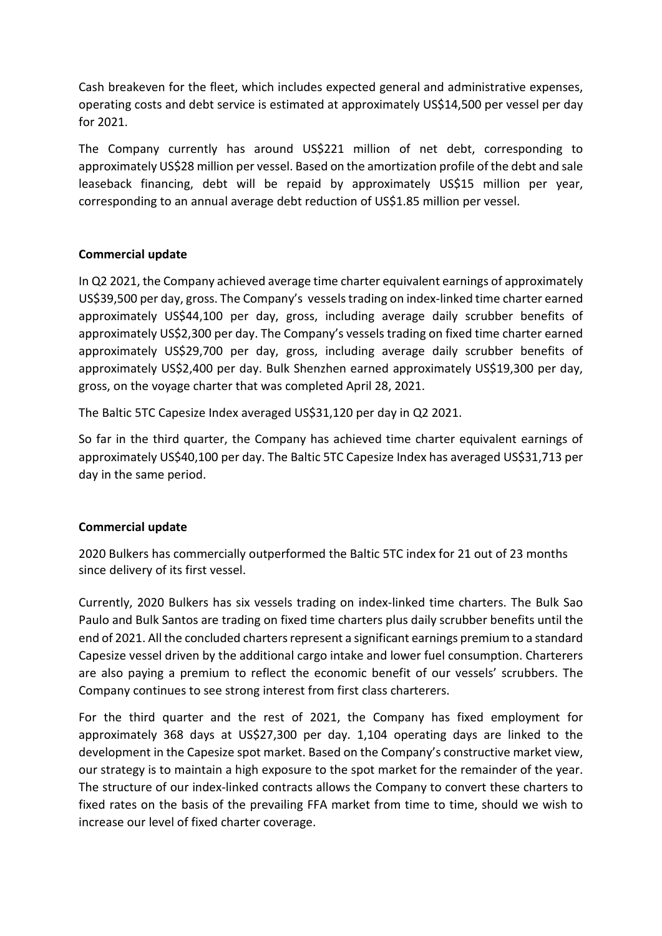Cash breakeven for the fleet, which includes expected general and administrative expenses, operating costs and debt service is estimated at approximately US\$14,500 per vessel per day for 2021.

The Company currently has around US\$221 million of net debt, corresponding to approximately US\$28 million per vessel. Based on the amortization profile of the debt and sale leaseback financing, debt will be repaid by approximately US\$15 million per year, corresponding to an annual average debt reduction of US\$1.85 million per vessel.

## **Commercial update**

In Q2 2021, the Company achieved average time charter equivalent earnings of approximately US\$39,500 per day, gross. The Company's vessels trading on index-linked time charter earned approximately US\$44,100 per day, gross, including average daily scrubber benefits of approximately US\$2,300 per day. The Company's vessels trading on fixed time charter earned approximately US\$29,700 per day, gross, including average daily scrubber benefits of approximately US\$2,400 per day. Bulk Shenzhen earned approximately US\$19,300 per day, gross, on the voyage charter that was completed April 28, 2021.

The Baltic 5TC Capesize Index averaged US\$31,120 per day in Q2 2021.

So far in the third quarter, the Company has achieved time charter equivalent earnings of approximately US\$40,100 per day. The Baltic 5TC Capesize Index has averaged US\$31,713 per day in the same period.

#### **Commercial update**

2020 Bulkers has commercially outperformed the Baltic 5TC index for 21 out of 23 months since delivery of its first vessel.

Currently, 2020 Bulkers has six vessels trading on index-linked time charters. The Bulk Sao Paulo and Bulk Santos are trading on fixed time charters plus daily scrubber benefits until the end of 2021. All the concluded charters represent a significant earnings premium to a standard Capesize vessel driven by the additional cargo intake and lower fuel consumption. Charterers are also paying a premium to reflect the economic benefit of our vessels' scrubbers. The Company continues to see strong interest from first class charterers.

For the third quarter and the rest of 2021, the Company has fixed employment for approximately 368 days at US\$27,300 per day. 1,104 operating days are linked to the development in the Capesize spot market. Based on the Company's constructive market view, our strategy is to maintain a high exposure to the spot market for the remainder of the year. The structure of our index-linked contracts allows the Company to convert these charters to fixed rates on the basis of the prevailing FFA market from time to time, should we wish to increase our level of fixed charter coverage.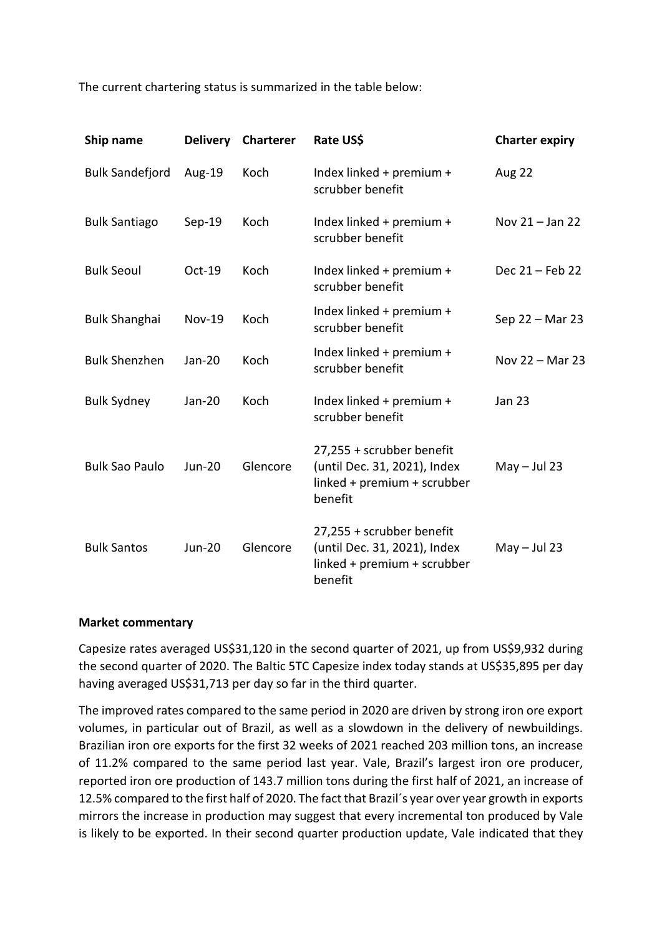The current chartering status is summarized in the table below:

| Ship name              | <b>Delivery</b> | <b>Charterer</b> | Rate US\$                                                                                           | <b>Charter expiry</b> |
|------------------------|-----------------|------------------|-----------------------------------------------------------------------------------------------------|-----------------------|
| <b>Bulk Sandefjord</b> | Aug-19          | Koch             | Index linked + premium +<br>scrubber benefit                                                        | Aug 22                |
| <b>Bulk Santiago</b>   | $Sep-19$        | Koch             | Index linked + premium +<br>scrubber benefit                                                        | Nov 21 - Jan 22       |
| <b>Bulk Seoul</b>      | Oct-19          | Koch             | Index linked + premium +<br>scrubber benefit                                                        | Dec 21 - Feb 22       |
| <b>Bulk Shanghai</b>   | <b>Nov-19</b>   | Koch             | Index linked + premium +<br>scrubber benefit                                                        | Sep 22 - Mar 23       |
| <b>Bulk Shenzhen</b>   | Jan-20          | Koch             | Index linked + premium +<br>scrubber benefit                                                        | Nov 22 - Mar 23       |
| <b>Bulk Sydney</b>     | Jan-20          | Koch             | Index linked + premium +<br>scrubber benefit                                                        | <b>Jan 23</b>         |
| <b>Bulk Sao Paulo</b>  | <b>Jun-20</b>   | Glencore         | 27,255 + scrubber benefit<br>(until Dec. 31, 2021), Index<br>linked + premium + scrubber<br>benefit | $May - Jul 23$        |
| <b>Bulk Santos</b>     | <b>Jun-20</b>   | Glencore         | 27,255 + scrubber benefit<br>(until Dec. 31, 2021), Index<br>linked + premium + scrubber<br>benefit | $May - Jul 23$        |

#### **Market commentary**

Capesize rates averaged US\$31,120 in the second quarter of 2021, up from US\$9,932 during the second quarter of 2020. The Baltic 5TC Capesize index today stands at US\$35,895 per day having averaged US\$31,713 per day so far in the third quarter.

The improved rates compared to the same period in 2020 are driven by strong iron ore export volumes, in particular out of Brazil, as well as a slowdown in the delivery of newbuildings. Brazilian iron ore exports for the first 32 weeks of 2021 reached 203 million tons, an increase of 11.2% compared to the same period last year. Vale, Brazil's largest iron ore producer, reported iron ore production of 143.7 million tons during the first half of 2021, an increase of 12.5% compared to the first half of 2020. The fact that Brazil´s year over year growth in exports mirrors the increase in production may suggest that every incremental ton produced by Vale is likely to be exported. In their second quarter production update, Vale indicated that they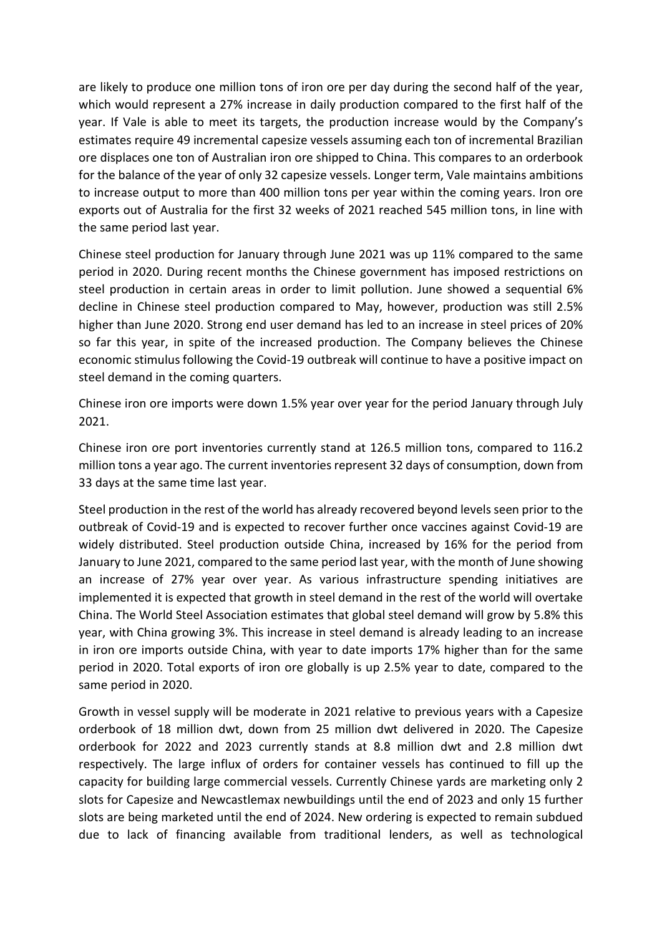are likely to produce one million tons of iron ore per day during the second half of the year, which would represent a 27% increase in daily production compared to the first half of the year. If Vale is able to meet its targets, the production increase would by the Company's estimates require 49 incremental capesize vessels assuming each ton of incremental Brazilian ore displaces one ton of Australian iron ore shipped to China. This compares to an orderbook for the balance of the year of only 32 capesize vessels. Longer term, Vale maintains ambitions to increase output to more than 400 million tons per year within the coming years. Iron ore exports out of Australia for the first 32 weeks of 2021 reached 545 million tons, in line with the same period last year.

Chinese steel production for January through June 2021 was up 11% compared to the same period in 2020. During recent months the Chinese government has imposed restrictions on steel production in certain areas in order to limit pollution. June showed a sequential 6% decline in Chinese steel production compared to May, however, production was still 2.5% higher than June 2020. Strong end user demand has led to an increase in steel prices of 20% so far this year, in spite of the increased production. The Company believes the Chinese economic stimulus following the Covid-19 outbreak will continue to have a positive impact on steel demand in the coming quarters.

Chinese iron ore imports were down 1.5% year over year for the period January through July 2021.

Chinese iron ore port inventories currently stand at 126.5 million tons, compared to 116.2 million tons a year ago. The current inventories represent 32 days of consumption, down from 33 days at the same time last year.

Steel production in the rest of the world has already recovered beyond levels seen prior to the outbreak of Covid-19 and is expected to recover further once vaccines against Covid-19 are widely distributed. Steel production outside China, increased by 16% for the period from January to June 2021, compared to the same period last year, with the month of June showing an increase of 27% year over year. As various infrastructure spending initiatives are implemented it is expected that growth in steel demand in the rest of the world will overtake China. The World Steel Association estimates that global steel demand will grow by 5.8% this year, with China growing 3%. This increase in steel demand is already leading to an increase in iron ore imports outside China, with year to date imports 17% higher than for the same period in 2020. Total exports of iron ore globally is up 2.5% year to date, compared to the same period in 2020.

Growth in vessel supply will be moderate in 2021 relative to previous years with a Capesize orderbook of 18 million dwt, down from 25 million dwt delivered in 2020. The Capesize orderbook for 2022 and 2023 currently stands at 8.8 million dwt and 2.8 million dwt respectively. The large influx of orders for container vessels has continued to fill up the capacity for building large commercial vessels. Currently Chinese yards are marketing only 2 slots for Capesize and Newcastlemax newbuildings until the end of 2023 and only 15 further slots are being marketed until the end of 2024. New ordering is expected to remain subdued due to lack of financing available from traditional lenders, as well as technological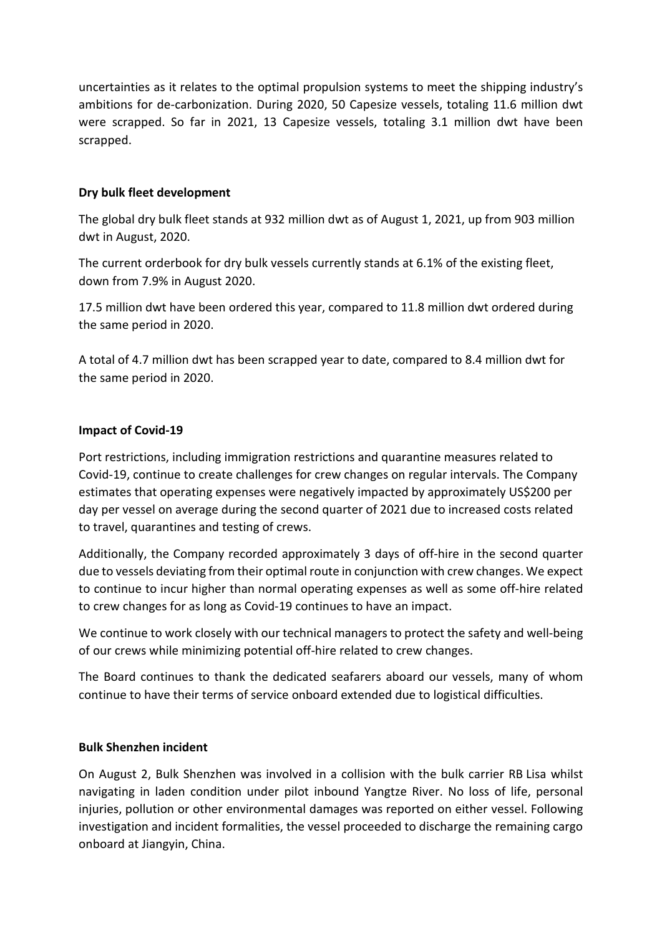uncertainties as it relates to the optimal propulsion systems to meet the shipping industry's ambitions for de-carbonization. During 2020, 50 Capesize vessels, totaling 11.6 million dwt were scrapped. So far in 2021, 13 Capesize vessels, totaling 3.1 million dwt have been scrapped.

# **Dry bulk fleet development**

The global dry bulk fleet stands at 932 million dwt as of August 1, 2021, up from 903 million dwt in August, 2020.

The current orderbook for dry bulk vessels currently stands at 6.1% of the existing fleet, down from 7.9% in August 2020.

17.5 million dwt have been ordered this year, compared to 11.8 million dwt ordered during the same period in 2020.

A total of 4.7 million dwt has been scrapped year to date, compared to 8.4 million dwt for the same period in 2020.

# **Impact of Covid-19**

Port restrictions, including immigration restrictions and quarantine measures related to Covid-19, continue to create challenges for crew changes on regular intervals. The Company estimates that operating expenses were negatively impacted by approximately US\$200 per day per vessel on average during the second quarter of 2021 due to increased costs related to travel, quarantines and testing of crews.

Additionally, the Company recorded approximately 3 days of off-hire in the second quarter due to vessels deviating from their optimal route in conjunction with crew changes. We expect to continue to incur higher than normal operating expenses as well as some off-hire related to crew changes for as long as Covid-19 continues to have an impact.

We continue to work closely with our technical managers to protect the safety and well-being of our crews while minimizing potential off-hire related to crew changes.

The Board continues to thank the dedicated seafarers aboard our vessels, many of whom continue to have their terms of service onboard extended due to logistical difficulties.

# **Bulk Shenzhen incident**

On August 2, Bulk Shenzhen was involved in a collision with the bulk carrier RB Lisa whilst navigating in laden condition under pilot inbound Yangtze River. No loss of life, personal injuries, pollution or other environmental damages was reported on either vessel. Following investigation and incident formalities, the vessel proceeded to discharge the remaining cargo onboard at Jiangyin, China.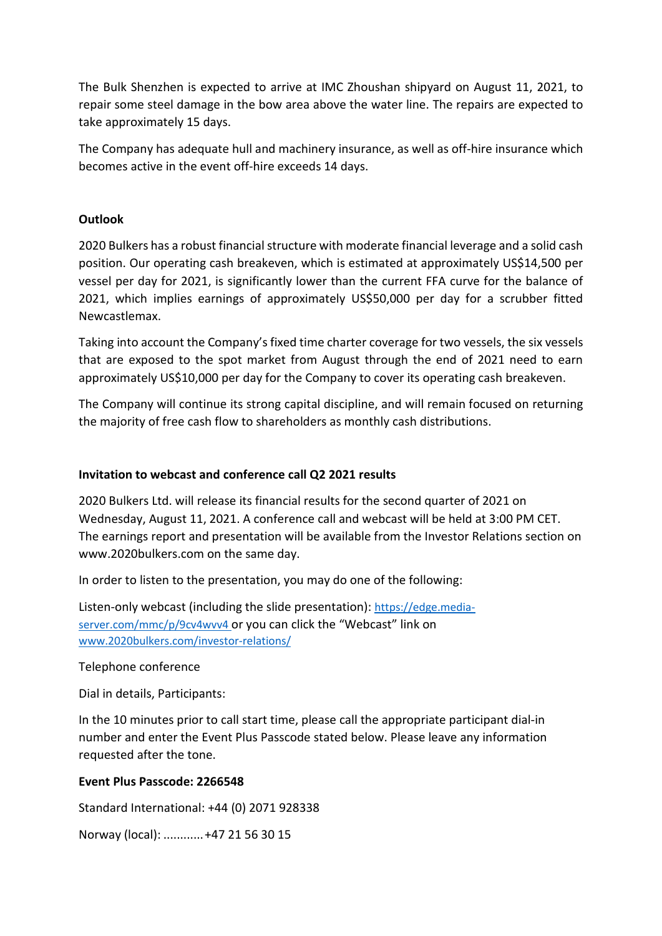The Bulk Shenzhen is expected to arrive at IMC Zhoushan shipyard on August 11, 2021, to repair some steel damage in the bow area above the water line. The repairs are expected to take approximately 15 days.

The Company has adequate hull and machinery insurance, as well as off-hire insurance which becomes active in the event off-hire exceeds 14 days.

## **Outlook**

2020 Bulkers has a robust financial structure with moderate financial leverage and a solid cash position. Our operating cash breakeven, which is estimated at approximately US\$14,500 per vessel per day for 2021, is significantly lower than the current FFA curve for the balance of 2021, which implies earnings of approximately US\$50,000 per day for a scrubber fitted Newcastlemax.

Taking into account the Company's fixed time charter coverage for two vessels, the six vessels that are exposed to the spot market from August through the end of 2021 need to earn approximately US\$10,000 per day for the Company to cover its operating cash breakeven.

The Company will continue its strong capital discipline, and will remain focused on returning the majority of free cash flow to shareholders as monthly cash distributions.

## **Invitation to webcast and conference call Q2 2021 results**

2020 Bulkers Ltd. will release its financial results for the second quarter of 2021 on Wednesday, August 11, 2021. A conference call and webcast will be held at 3:00 PM CET. The earnings report and presentation will be available from the Investor Relations section on www.2020bulkers.com on the same day.

In order to listen to the presentation, you may do one of the following:

Listen-only webcast (including the slide presentation): [https://edge.media](https://edge.media-server.com/mmc/p/9cv4wvv4)[server.com/mmc/p/9cv4wvv4](https://edge.media-server.com/mmc/p/9cv4wvv4) or you can click the "Webcast" link on [www.2020bulkers.com/investor-relations/](http://www.2020bulkers.com/investor-relations/)

#### Telephone conference

Dial in details, Participants:

In the 10 minutes prior to call start time, please call the appropriate participant dial-in number and enter the Event Plus Passcode stated below. Please leave any information requested after the tone.

#### **Event Plus Passcode: 2266548**

Standard International: +44 (0) 2071 928338

Norway (local): ............+47 21 56 30 15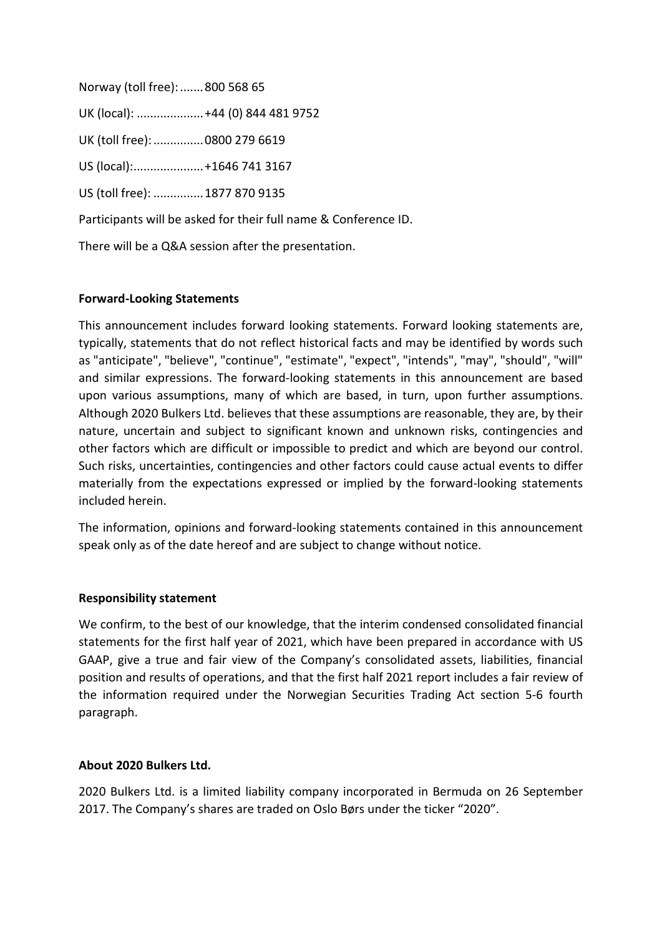| Norway (toll free):  800 568 65 |                                   |
|---------------------------------|-----------------------------------|
|                                 | UK (local):  +44 (0) 844 481 9752 |
| UK (toll free):  0800 279 6619  |                                   |
| US (local): +1646 741 3167      |                                   |
| US (toll free):  1877 870 9135  |                                   |
|                                 |                                   |

Participants will be asked for their full name & Conference ID.

There will be a Q&A session after the presentation.

# **Forward-Looking Statements**

This announcement includes forward looking statements. Forward looking statements are, typically, statements that do not reflect historical facts and may be identified by words such as "anticipate", "believe", "continue", "estimate", "expect", "intends", "may", "should", "will" and similar expressions. The forward-looking statements in this announcement are based upon various assumptions, many of which are based, in turn, upon further assumptions. Although 2020 Bulkers Ltd. believes that these assumptions are reasonable, they are, by their nature, uncertain and subject to significant known and unknown risks, contingencies and other factors which are difficult or impossible to predict and which are beyond our control. Such risks, uncertainties, contingencies and other factors could cause actual events to differ materially from the expectations expressed or implied by the forward-looking statements included herein.

The information, opinions and forward-looking statements contained in this announcement speak only as of the date hereof and are subject to change without notice.

# **Responsibility statement**

We confirm, to the best of our knowledge, that the interim condensed consolidated financial statements for the first half year of 2021, which have been prepared in accordance with US GAAP, give a true and fair view of the Company's consolidated assets, liabilities, financial position and results of operations, and that the first half 2021 report includes a fair review of the information required under the Norwegian Securities Trading Act section 5-6 fourth paragraph.

# **About 2020 Bulkers Ltd.**

2020 Bulkers Ltd. is a limited liability company incorporated in Bermuda on 26 September 2017. The Company's shares are traded on Oslo Børs under the ticker "2020".